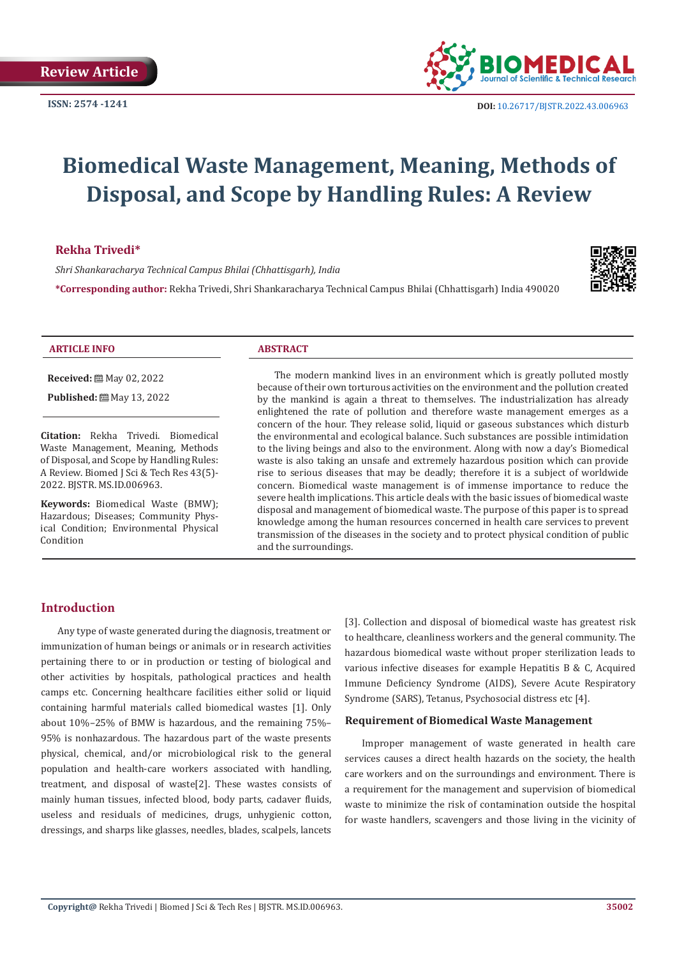

# **Biomedical Waste Management, Meaning, Methods of Disposal, and Scope by Handling Rules: A Review**

# **Rekha Trivedi\***

*Shri Shankaracharya Technical Campus Bhilai (Chhattisgarh), India*

**\*Corresponding author:** Rekha Trivedi, Shri Shankaracharya Technical Campus Bhilai (Chhattisgarh) India 490020



#### **ARTICLE INFO ABSTRACT**

**Received:** ■ May 02, 2022

**Published:** ■ May 13, 2022

**Citation:** Rekha Trivedi. Biomedical Waste Management, Meaning, Methods of Disposal, and Scope by Handling Rules: A Review. Biomed J Sci & Tech Res 43(5)- 2022. BJSTR. MS.ID.006963.

**Keywords:** Biomedical Waste (BMW); Hazardous; Diseases; Community Physical Condition; Environmental Physical Condition

The modern mankind lives in an environment which is greatly polluted mostly because of their own torturous activities on the environment and the pollution created by the mankind is again a threat to themselves. The industrialization has already enlightened the rate of pollution and therefore waste management emerges as a concern of the hour. They release solid, liquid or gaseous substances which disturb the environmental and ecological balance. Such substances are possible intimidation to the living beings and also to the environment. Along with now a day's Biomedical waste is also taking an unsafe and extremely hazardous position which can provide rise to serious diseases that may be deadly; therefore it is a subject of worldwide concern. Biomedical waste management is of immense importance to reduce the severe health implications. This article deals with the basic issues of biomedical waste disposal and management of biomedical waste. The purpose of this paper is to spread knowledge among the human resources concerned in health care services to prevent transmission of the diseases in the society and to protect physical condition of public and the surroundings.

# **Introduction**

Any type of waste generated during the diagnosis, treatment or immunization of human beings or animals or in research activities pertaining there to or in production or testing of biological and other activities by hospitals, pathological practices and health camps etc. Concerning healthcare facilities either solid or liquid containing harmful materials called biomedical wastes [1]. Only about 10%–25% of BMW is hazardous, and the remaining 75%– 95% is nonhazardous. The hazardous part of the waste presents physical, chemical, and/or microbiological risk to the general population and health-care workers associated with handling, treatment, and disposal of waste[2]. These wastes consists of mainly human tissues, infected blood, body parts, cadaver fluids, useless and residuals of medicines, drugs, unhygienic cotton, dressings, and sharps like glasses, needles, blades, scalpels, lancets [3]. Collection and disposal of biomedical waste has greatest risk to healthcare, cleanliness workers and the general community. The hazardous biomedical waste without proper sterilization leads to various infective diseases for example Hepatitis B & C, Acquired Immune Deficiency Syndrome (AIDS), Severe Acute Respiratory Syndrome (SARS), Tetanus, Psychosocial distress etc [4].

#### **Requirement of Biomedical Waste Management**

Improper management of waste generated in health care services causes a direct health hazards on the society, the health care workers and on the surroundings and environment. There is a requirement for the management and supervision of biomedical waste to minimize the risk of contamination outside the hospital for waste handlers, scavengers and those living in the vicinity of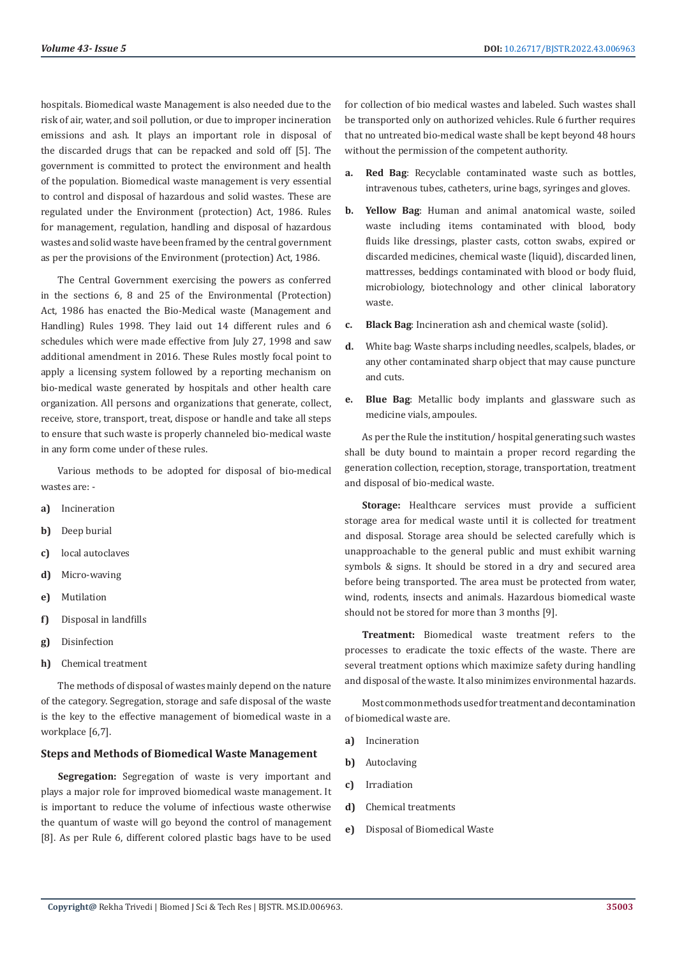hospitals. Biomedical waste Management is also needed due to the risk of air, water, and soil pollution, or due to improper incineration emissions and ash. It plays an important role in disposal of the discarded drugs that can be repacked and sold off [5]. The government is committed to protect the environment and health of the population. Biomedical waste management is very essential to control and disposal of hazardous and solid wastes. These are regulated under the Environment (protection) Act, 1986. Rules for management, regulation, handling and disposal of hazardous wastes and solid waste have been framed by the central government as per the provisions of the Environment (protection) Act, 1986.

The Central Government exercising the powers as conferred in the sections 6, 8 and 25 of the Environmental (Protection) Act, 1986 has enacted the Bio-Medical waste (Management and Handling) Rules 1998. They laid out 14 different rules and 6 schedules which were made effective from July 27, 1998 and saw additional amendment in 2016. These Rules mostly focal point to apply a licensing system followed by a reporting mechanism on bio-medical waste generated by hospitals and other health care organization. All persons and organizations that generate, collect, receive, store, transport, treat, dispose or handle and take all steps to ensure that such waste is properly channeled bio-medical waste in any form come under of these rules.

Various methods to be adopted for disposal of bio-medical wastes are: -

- **a)** Incineration
- **b)** Deep burial
- **c)** local autoclaves
- **d)** Micro-waving
- **e)** Mutilation
- **f)** Disposal in landfills
- **g)** Disinfection
- **h)** Chemical treatment

The methods of disposal of wastes mainly depend on the nature of the category. Segregation, storage and safe disposal of the waste is the key to the effective management of biomedical waste in a workplace [6,7].

#### **Steps and Methods of Biomedical Waste Management**

**Segregation:** Segregation of waste is very important and plays a major role for improved biomedical waste management. It is important to reduce the volume of infectious waste otherwise the quantum of waste will go beyond the control of management [8]. As per Rule 6, different colored plastic bags have to be used

for collection of bio medical wastes and labeled. Such wastes shall be transported only on authorized vehicles. Rule 6 further requires that no untreated bio-medical waste shall be kept beyond 48 hours without the permission of the competent authority.

- **a. Red Bag**: Recyclable contaminated waste such as bottles, intravenous tubes, catheters, urine bags, syringes and gloves.
- **b. Yellow Bag**: Human and animal anatomical waste, soiled waste including items contaminated with blood, body fluids like dressings, plaster casts, cotton swabs, expired or discarded medicines, chemical waste (liquid), discarded linen, mattresses, beddings contaminated with blood or body fluid, microbiology, biotechnology and other clinical laboratory waste.
- **c. Black Bag**: Incineration ash and chemical waste (solid).
- **d.** White bag: Waste sharps including needles, scalpels, blades, or any other contaminated sharp object that may cause puncture and cuts.
- **e. Blue Bag**: Metallic body implants and glassware such as medicine vials, ampoules.

As per the Rule the institution/ hospital generating such wastes shall be duty bound to maintain a proper record regarding the generation collection, reception, storage, transportation, treatment and disposal of bio-medical waste.

**Storage:** Healthcare services must provide a sufficient storage area for medical waste until it is collected for treatment and disposal. Storage area should be selected carefully which is unapproachable to the general public and must exhibit warning symbols & signs. It should be stored in a dry and secured area before being transported. The area must be protected from water, wind, rodents, insects and animals. Hazardous biomedical waste should not be stored for more than 3 months [9].

**Treatment:** Biomedical waste treatment refers to the processes to eradicate the toxic effects of the waste. There are several treatment options which maximize safety during handling and disposal of the waste. It also minimizes environmental hazards.

Most common methods used for treatment and decontamination of biomedical waste are.

- **a)** Incineration
- **b)** Autoclaving
- **c)** Irradiation
- **d)** Chemical treatments
- **e)** Disposal of Biomedical Waste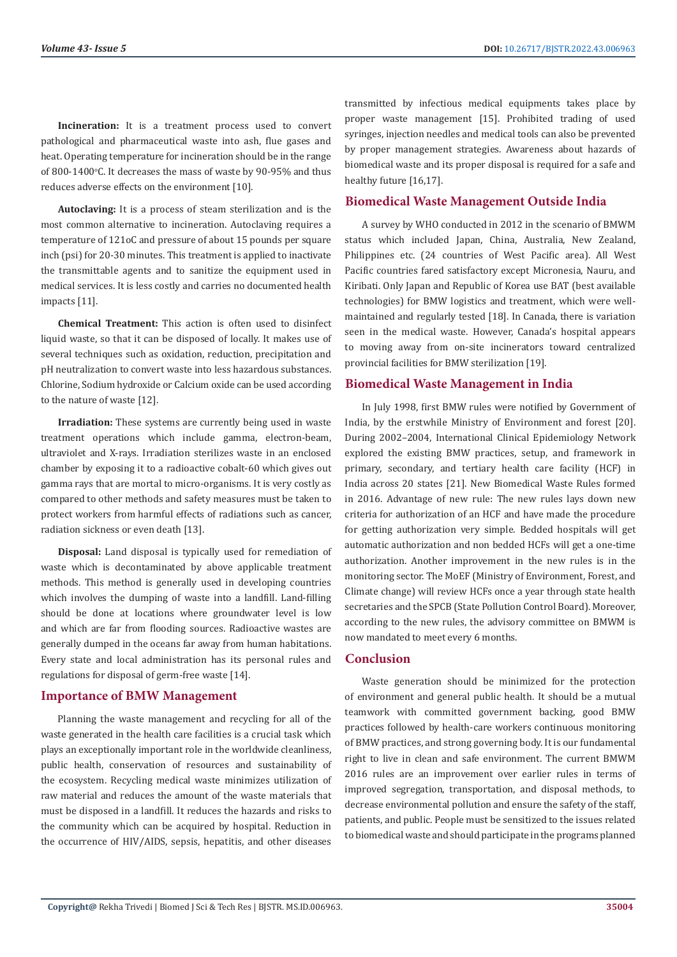**Incineration:** It is a treatment process used to convert pathological and pharmaceutical waste into ash, flue gases and heat. Operating temperature for incineration should be in the range of 800-1400 $\degree$ C. It decreases the mass of waste by 90-95% and thus reduces adverse effects on the environment [10].

**Autoclaving:** It is a process of steam sterilization and is the most common alternative to incineration. Autoclaving requires a temperature of 121oC and pressure of about 15 pounds per square inch (psi) for 20-30 minutes. This treatment is applied to inactivate the transmittable agents and to sanitize the equipment used in medical services. It is less costly and carries no documented health impacts [11].

**Chemical Treatment:** This action is often used to disinfect liquid waste, so that it can be disposed of locally. It makes use of several techniques such as oxidation, reduction, precipitation and pH neutralization to convert waste into less hazardous substances. Chlorine, Sodium hydroxide or Calcium oxide can be used according to the nature of waste [12].

**Irradiation:** These systems are currently being used in waste treatment operations which include gamma, electron-beam, ultraviolet and X-rays. Irradiation sterilizes waste in an enclosed chamber by exposing it to a radioactive cobalt-60 which gives out gamma rays that are mortal to micro-organisms. It is very costly as compared to other methods and safety measures must be taken to protect workers from harmful effects of radiations such as cancer, radiation sickness or even death [13].

**Disposal:** Land disposal is typically used for remediation of waste which is decontaminated by above applicable treatment methods. This method is generally used in developing countries which involves the dumping of waste into a landfill. Land-filling should be done at locations where groundwater level is low and which are far from flooding sources. Radioactive wastes are generally dumped in the oceans far away from human habitations. Every state and local administration has its personal rules and regulations for disposal of germ-free waste [14].

# **Importance of BMW Management**

Planning the waste management and recycling for all of the waste generated in the health care facilities is a crucial task which plays an exceptionally important role in the worldwide cleanliness, public health, conservation of resources and sustainability of the ecosystem. Recycling medical waste minimizes utilization of raw material and reduces the amount of the waste materials that must be disposed in a landfill. It reduces the hazards and risks to the community which can be acquired by hospital. Reduction in the occurrence of HIV/AIDS, sepsis, hepatitis, and other diseases

transmitted by infectious medical equipments takes place by proper waste management [15]. Prohibited trading of used syringes, injection needles and medical tools can also be prevented by proper management strategies. Awareness about hazards of biomedical waste and its proper disposal is required for a safe and healthy future [16,17].

# **Biomedical Waste Management Outside India**

A survey by WHO conducted in 2012 in the scenario of BMWM status which included Japan, China, Australia, New Zealand, Philippines etc. (24 countries of West Pacific area). All West Pacific countries fared satisfactory except Micronesia, Nauru, and Kiribati. Only Japan and Republic of Korea use BAT (best available technologies) for BMW logistics and treatment, which were wellmaintained and regularly tested [18]. In Canada, there is variation seen in the medical waste. However, Canada's hospital appears to moving away from on-site incinerators toward centralized provincial facilities for BMW sterilization [19].

### **Biomedical Waste Management in India**

In July 1998, first BMW rules were notified by Government of India, by the erstwhile Ministry of Environment and forest [20]. During 2002–2004, International Clinical Epidemiology Network explored the existing BMW practices, setup, and framework in primary, secondary, and tertiary health care facility (HCF) in India across 20 states [21]. New Biomedical Waste Rules formed in 2016. Advantage of new rule: The new rules lays down new criteria for authorization of an HCF and have made the procedure for getting authorization very simple. Bedded hospitals will get automatic authorization and non bedded HCFs will get a one-time authorization. Another improvement in the new rules is in the monitoring sector. The MoEF (Ministry of Environment, Forest, and Climate change) will review HCFs once a year through state health secretaries and the SPCB (State Pollution Control Board). Moreover, according to the new rules, the advisory committee on BMWM is now mandated to meet every 6 months.

#### **Conclusion**

Waste generation should be minimized for the protection of environment and general public health. It should be a mutual teamwork with committed government backing, good BMW practices followed by health-care workers continuous monitoring of BMW practices, and strong governing body. It is our fundamental right to live in clean and safe environment. The current BMWM 2016 rules are an improvement over earlier rules in terms of improved segregation, transportation, and disposal methods, to decrease environmental pollution and ensure the safety of the staff, patients, and public. People must be sensitized to the issues related to biomedical waste and should participate in the programs planned